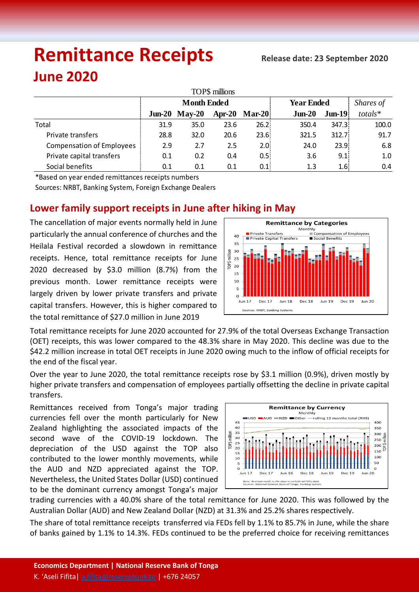# **Remittance Receipts Release date: <sup>23</sup> September <sup>2020</sup>**

## **June 2020**

| TOP\$ millions                   |                    |          |          |               |                   |                   |           |  |  |  |  |  |
|----------------------------------|--------------------|----------|----------|---------------|-------------------|-------------------|-----------|--|--|--|--|--|
|                                  | <b>Month Ended</b> |          |          |               | <b>Year Ended</b> |                   | Shares of |  |  |  |  |  |
|                                  | $J$ un-20          | $Mav-20$ | $Apr-20$ | <b>Mar-20</b> | $J$ un-20         | $J$ un-19 $ $     | totals*   |  |  |  |  |  |
| Total                            | 31.9               | 35.0     | 23.6     | 26.2          | 350.4             | 347.3             | 100.0     |  |  |  |  |  |
| Private transfers                | 28.8               | 32.0     | 20.6     | 23.6          | 321.5             | 312.7             | 91.7      |  |  |  |  |  |
| <b>Compensation of Employees</b> | 2.9                | 2.7      | 2.5      | 2.0%          | 24.0              | 23.9 <sup>1</sup> | 6.8       |  |  |  |  |  |
| Private capital transfers        | 0.1                | 0.2      | 0.4      | 0.5%          | 3.6               | 9.1               | 1.0       |  |  |  |  |  |
| Social benefits                  | 0.1                | 0.1      | 0.1      | 0.1           | 1.3               | 1.6!              | 0.4       |  |  |  |  |  |

\*Based on year ended remittances receipts numbers

Sources: NRBT, Banking System, Foreign Exchange Dealers

### **Lower family support receipts in June after hiking in May**

The cancellation of major events normally held in June particularly the annual conference of churches and the Heilala Festival recorded a slowdown in remittance receipts. Hence, total remittance receipts for June 2020 decreased by \$3.0 million (8.7%) from the previous month. Lower remittance receipts were largely driven by lower private transfers and private capital transfers. However, this is higher compared to the total remittance of \$27.0 million in June 2019



Total remittance receipts for June 2020 accounted for 27.9% of the total Overseas Exchange Transaction (OET) receipts, this was lower compared to the 48.3% share in May 2020. This decline was due to the \$42.2 million increase in total OET receipts in June 2020 owing much to the inflow of official receipts for the end of the fiscal year.

Over the year to June 2020, the total remittance receipts rose by \$3.1 million (0.9%), driven mostly by higher private transfers and compensation of employees partially offsetting the decline in private capital transfers.

Remittances received from Tonga's major trading currencies fell over the month particularly for New Zealand highlighting the associated impacts of the second wave of the COVID-19 lockdown. The depreciation of the USD against the TOP also contributed to the lower monthly movements, while the AUD and NZD appreciated against the TOP. Nevertheless, the United States Dollar (USD) continued to be the dominant currency amongst Tonga's major



trading currencies with a 40.0% share of the total remittance for June 2020. This was followed by the Australian Dollar (AUD) and New Zealand Dollar (NZD) at 31.3% and 25.2% shares respectively.

The share of total remittance receipts transferred via FEDs fell by 1.1% to 85.7% in June, while the share of banks gained by 1.1% to 14.3%. FEDs continued to be the preferred choice for receiving remittances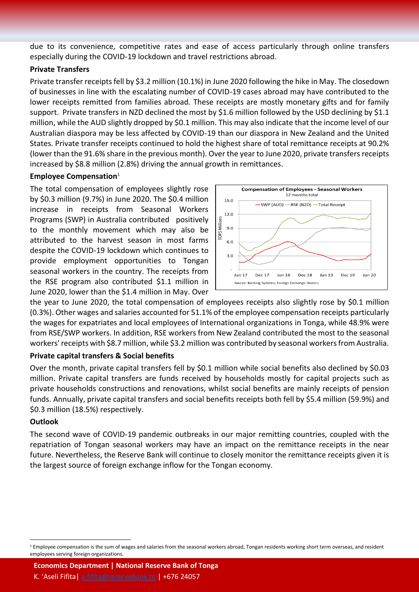due to its convenience, competitive rates and ease of access particularly through online transfers especially during the COVID-19 lockdown and travel restrictions abroad.

#### **Private Transfers**

Private transfer receipts fell by \$3.2 million (10.1%) in June 2020 following the hike in May. The closedown of businesses in line with the escalating number of COVID-19 cases abroad may have contributed to the lower receipts remitted from families abroad. These receipts are mostly monetary gifts and for family support. Private transfers in NZD declined the most by \$1.6 million followed by the USD declining by \$1.1 million, while the AUD slightly dropped by \$0.1 million. This may also indicate that the income level of our Australian diaspora may be less affected by COVID-19 than our diaspora in New Zealand and the United States. Private transfer receipts continued to hold the highest share of total remittance receipts at 90.2% (lower than the 91.6% share in the previous month). Over the year to June 2020, private transfers receipts increased by \$8.8 million (2.8%) driving the annual growth in remittances.

#### **Employee Compensation**<sup>1</sup>

The total compensation of employees slightly rose by \$0.3 million (9.7%) in June 2020. The \$0.4 million increase in receipts from Seasonal Workers Programs (SWP) in Australia contributed positively to the monthly movement which may also be attributed to the harvest season in most farms despite the COVID-19 lockdown which continues to provide employment opportunities to Tongan seasonal workers in the country. The receipts from the RSE program also contributed \$1.1 million in June 2020, lower than the \$1.4 million in May. Over



the year to June 2020, the total compensation of employees receipts also slightly rose by \$0.1 million (0.3%). Other wages and salaries accounted for 51.1% of the employee compensation receipts particularly the wages for expatriates and local employees of International organizations in Tonga, while 48.9% were from RSE/SWP workers. In addition, RSE workers from New Zealand contributed the most to the seasonal workers' receipts with \$8.7 million, while \$3.2 million was contributed by seasonal workers from Australia.

#### **Private capital transfers & Social benefits**

Over the month, private capital transfers fell by \$0.1 million while social benefits also declined by \$0.03 million. Private capital transfers are funds received by households mostly for capital projects such as private households constructions and renovations, whilst social benefits are mainly receipts of pension funds. Annually, private capital transfers and social benefits receipts both fell by \$5.4 million (59.9%) and \$0.3 million (18.5%) respectively.

#### **Outlook**

 $\overline{a}$ 

The second wave of COVID-19 pandemic outbreaks in our major remitting countries, coupled with the repatriation of Tongan seasonal workers may have an impact on the remittance receipts in the near future. Nevertheless, the Reserve Bank will continue to closely monitor the remittance receipts given it is the largest source of foreign exchange inflow for the Tongan economy.

**Economics Department | National Reserve Bank of Tonga**

K. 'Aseli Fifita| [a.fifita@reservebank.to](mailto:a.fifita@reservebank.to) | +676 24057

<sup>&</sup>lt;sup>1</sup> Employee compensation is the sum of wages and salaries from the seasonal workers abroad, Tongan residents working short term overseas, and resident employees serving foreign organizations.